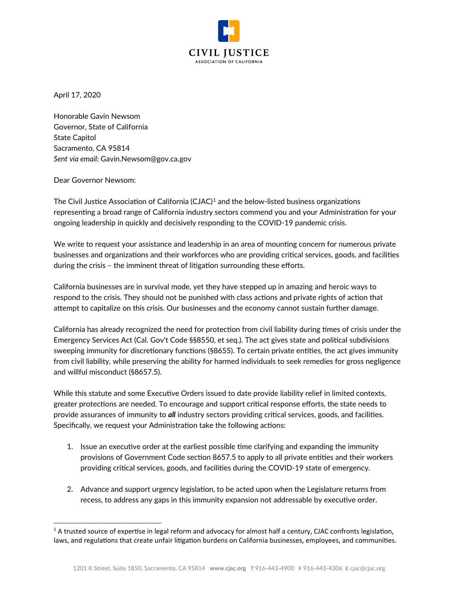

April 17, 2020

Honorable Gavin Newsom Governor, State of California State Capitol Sacramento, CA 95814 *Sent via email:* Gavin.Newsom@gov.ca.gov

#### Dear Governor Newsom:

The Civil Justice Association of California (CJAC)<sup>[1](#page-0-0)</sup> and the below-listed business organizations representing a broad range of California industry sectors commend you and your Administration for your ongoing leadership in quickly and decisively responding to the COVID-19 pandemic crisis.

We write to request your assistance and leadership in an area of mounting concern for numerous private businesses and organizations and their workforces who are providing critical services, goods, and facilities during the crisis – the imminent threat of litigation surrounding these efforts.

California businesses are in survival mode, yet they have stepped up in amazing and heroic ways to respond to the crisis. They should not be punished with class actions and private rights of action that attempt to capitalize on this crisis. Our businesses and the economy cannot sustain further damage.

California has already recognized the need for protection from civil liability during times of crisis under the Emergency Services Act (Cal. Gov't Code §§8550, et seq.). The act gives state and political subdivisions sweeping immunity for discretionary functions (§8655). To certain private entities, the act gives immunity from civil liability, while preserving the ability for harmed individuals to seek remedies for gross negligence and willful misconduct (§8657.5).

While this statute and some Executive Orders issued to date provide liability relief in limited contexts, greater protections are needed. To encourage and support critical response efforts, the state needs to provide assurances of immunity to *all* industry sectors providing critical services, goods, and facilities. Specifically, we request your Administration take the following actions:

- 1. Issue an executive order at the earliest possible time clarifying and expanding the immunity provisions of Government Code section 8657.5 to apply to all private entities and their workers providing critical services, goods, and facilities during the COVID-19 state of emergency.
- 2. Advance and support urgency legislation, to be acted upon when the Legislature returns from recess, to address any gaps in this immunity expansion not addressable by executive order.

<span id="page-0-0"></span> $1A$  trusted source of expertise in legal reform and advocacy for almost half a century, CJAC confronts legislation, laws, and regulations that create unfair litigation burdens on California businesses, employees, and communities.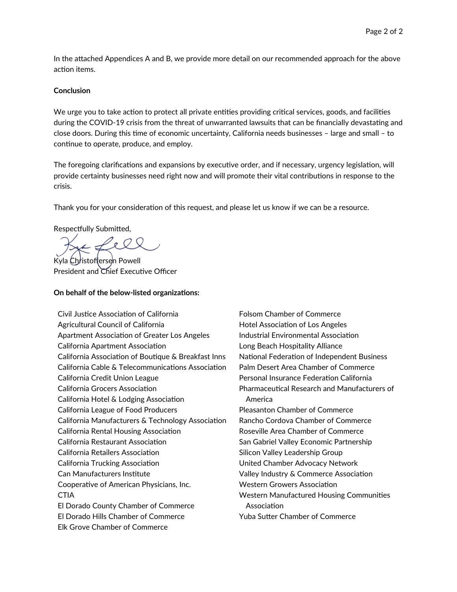In the attached Appendices A and B, we provide more detail on our recommended approach for the above action items.

#### **Conclusion**

We urge you to take action to protect all private entities providing critical services, goods, and facilities during the COVID-19 crisis from the threat of unwarranted lawsuits that can be financially devastating and close doors. During this time of economic uncertainty, California needs businesses – large and small – to continue to operate, produce, and employ.

The foregoing clarifications and expansions by executive order, and if necessary, urgency legislation, will provide certainty businesses need right now and will promote their vital contributions in response to the crisis.

Thank you for your consideration of this request, and please let us know if we can be a resource.

Respectfully Submitted,

Kyla Christoffersen Powell

President and Chief Executive Officer

#### **On behalf of the below-listed organizations:**

Civil Justice Association of California Agricultural Council of California Apartment Association of Greater Los Angeles California Apartment Association California Association of Boutique & Breakfast Inns California Cable & Telecommunications Association California Credit Union League California Grocers Association California Hotel & Lodging Association California League of Food Producers California Manufacturers & Technology Association California Rental Housing Association California Restaurant Association California Retailers Association California Trucking Association Can Manufacturers Institute Cooperative of American Physicians, Inc. **CTIA** El Dorado County Chamber of Commerce El Dorado Hills Chamber of Commerce Elk Grove Chamber of Commerce

Folsom Chamber of Commerce Hotel Association of Los Angeles Industrial Environmental Association Long Beach Hospitality Alliance National Federation of Independent Business Palm Desert Area Chamber of Commerce Personal Insurance Federation California Pharmaceutical Research and Manufacturers of America Pleasanton Chamber of Commerce Rancho Cordova Chamber of Commerce Roseville Area Chamber of Commerce San Gabriel Valley Economic Partnership Silicon Valley Leadership Group United Chamber Advocacy Network Valley Industry & Commerce Association Western Growers Association Western Manufactured Housing Communities Association Yuba Sutter Chamber of Commerce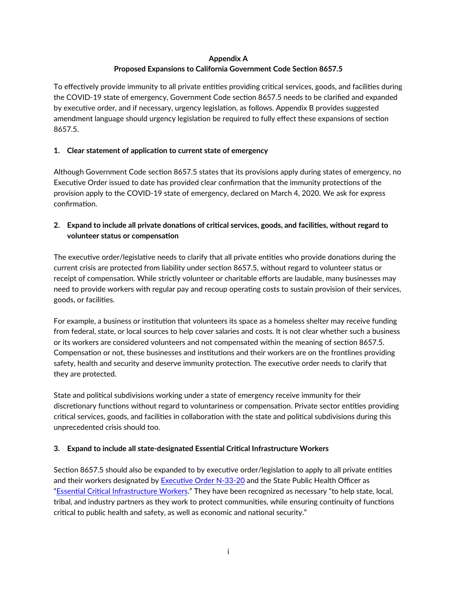## **Appendix A Proposed Expansions to California Government Code Section 8657.5**

To effectively provide immunity to all private entities providing critical services, goods, and facilities during the COVID-19 state of emergency, Government Code section 8657.5 needs to be clarified and expanded by executive order, and if necessary, urgency legislation, as follows. Appendix B provides suggested amendment language should urgency legislation be required to fully effect these expansions of section 8657.5.

### **1. Clear statement of application to current state of emergency**

Although Government Code section 8657.5 states that its provisions apply during states of emergency, no Executive Order issued to date has provided clear confirmation that the immunity protections of the provision apply to the COVID-19 state of emergency, declared on March 4, 2020. We ask for express confirmation.

## **2. Expand to include all private donations of critical services, goods, and facilities, without regard to volunteer status or compensation**

The executive order/legislative needs to clarify that all private entities who provide donations during the current crisis are protected from liability under section 8657.5, without regard to volunteer status or receipt of compensation. While strictly volunteer or charitable efforts are laudable, many businesses may need to provide workers with regular pay and recoup operating costs to sustain provision of their services, goods, or facilities.

For example, a business or institution that volunteers its space as a homeless shelter may receive funding from federal, state, or local sources to help cover salaries and costs. It is not clear whether such a business or its workers are considered volunteers and not compensated within the meaning of section 8657.5. Compensation or not, these businesses and institutions and their workers are on the frontlines providing safety, health and security and deserve immunity protection. The executive order needs to clarify that they are protected.

State and political subdivisions working under a state of emergency receive immunity for their discretionary functions without regard to voluntariness or compensation. Private sector entities providing critical services, goods, and facilities in collaboration with the state and political subdivisions during this unprecedented crisis should too.

### **3. Expand to include all state-designated Essential Critical Infrastructure Workers**

Section 8657.5 should also be expanded to by executive order/legislation to apply to all private entities and their workers designated by [Executive Order N](https://covid19.ca.gov/img/Executive-Order-N-33-20.pdf)-33-20 and the State Public Health Officer as "[Essential Critical Infrastructure Workers](https://covid19.ca.gov/img/EssentialCriticalInfrastructureWorkers.pdf)." They have been recognized as necessary "to help state, local, tribal, and industry partners as they work to protect communities, while ensuring continuity of functions critical to public health and safety, as well as economic and national security."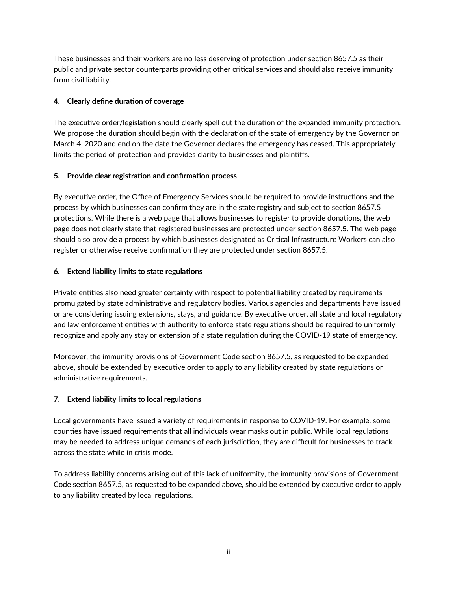These businesses and their workers are no less deserving of protection under section 8657.5 as their public and private sector counterparts providing other critical services and should also receive immunity from civil liability.

## **4. Clearly define duration of coverage**

The executive order/legislation should clearly spell out the duration of the expanded immunity protection. We propose the duration should begin with the declaration of the state of emergency by the Governor on March 4, 2020 and end on the date the Governor declares the emergency has ceased. This appropriately limits the period of protection and provides clarity to businesses and plaintiffs.

### **5. Provide clear registration and confirmation process**

By executive order, the Office of Emergency Services should be required to provide instructions and the process by which businesses can confirm they are in the state registry and subject to section 8657.5 protections. While there is a web page that allows businesses to register to provide donations, the web page does not clearly state that registered businesses are protected under section 8657.5. The web page should also provide a process by which businesses designated as Critical Infrastructure Workers can also register or otherwise receive confirmation they are protected under section 8657.5.

## **6. Extend liability limits to state regulations**

Private entities also need greater certainty with respect to potential liability created by requirements promulgated by state administrative and regulatory bodies. Various agencies and departments have issued or are considering issuing extensions, stays, and guidance. By executive order, all state and local regulatory and law enforcement entities with authority to enforce state regulations should be required to uniformly recognize and apply any stay or extension of a state regulation during the COVID-19 state of emergency.

Moreover, the immunity provisions of Government Code section 8657.5, as requested to be expanded above, should be extended by executive order to apply to any liability created by state regulations or administrative requirements.

# **7. Extend liability limits to local regulations**

Local governments have issued a variety of requirements in response to COVID-19. For example, some counties have issued requirements that all individuals wear masks out in public. While local regulations may be needed to address unique demands of each jurisdiction, they are difficult for businesses to track across the state while in crisis mode.

To address liability concerns arising out of this lack of uniformity, the immunity provisions of Government Code section 8657.5, as requested to be expanded above, should be extended by executive order to apply to any liability created by local regulations.